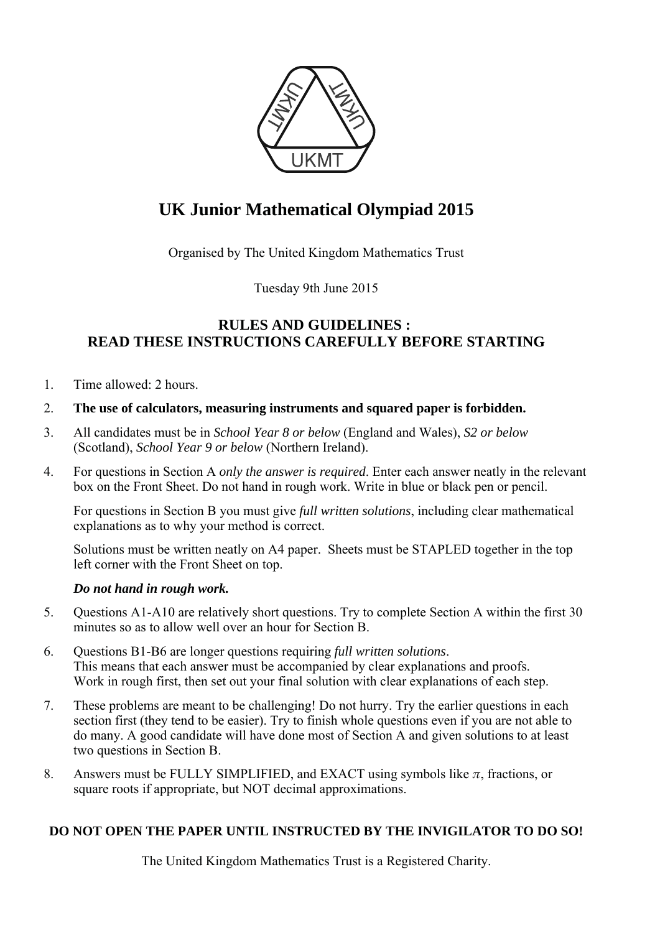

# **UK Junior Mathematical Olympiad 2015**

Organised by The United Kingdom Mathematics Trust

Tuesday 9th June 2015

## **RULES AND GUIDELINES : READ THESE INSTRUCTIONS CAREFULLY BEFORE STARTING**

1. Time allowed: 2 hours.

## 2. **The use of calculators, measuring instruments and squared paper is forbidden.**

- 3. All candidates must be in *School Year 8 or below* (England and Wales), *S2 or below* (Scotland), *School Year 9 or below* (Northern Ireland).
- 4. For questions in Section A *only the answer is required*. Enter each answer neatly in the relevant box on the Front Sheet. Do not hand in rough work. Write in blue or black pen or pencil.

For questions in Section B you must give *full written solutions*, including clear mathematical explanations as to why your method is correct.

Solutions must be written neatly on A4 paper. Sheets must be STAPLED together in the top left corner with the Front Sheet on top.

## *Do not hand in rough work.*

- 5. Questions A1-A10 are relatively short questions. Try to complete Section A within the first 30 minutes so as to allow well over an hour for Section B.
- 6. Questions B1-B6 are longer questions requiring *full written solutions*. This means that each answer must be accompanied by clear explanations and proofs. Work in rough first, then set out your final solution with clear explanations of each step.
- 7. These problems are meant to be challenging! Do not hurry. Try the earlier questions in each section first (they tend to be easier). Try to finish whole questions even if you are not able to do many. A good candidate will have done most of Section A and given solutions to at least two questions in Section B.
- 8. Answers must be FULLY SIMPLIFIED, and EXACT using symbols like  $\pi$ , fractions, or square roots if appropriate, but NOT decimal approximations.

## **DO NOT OPEN THE PAPER UNTIL INSTRUCTED BY THE INVIGILATOR TO DO SO!**

The United Kingdom Mathematics Trust is a Registered Charity.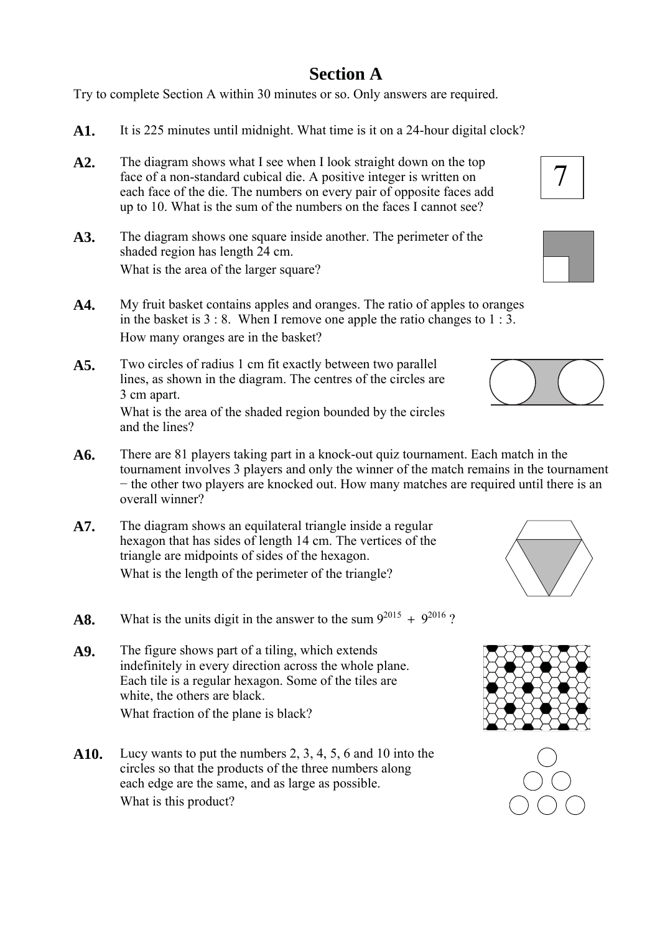# **Section A**

Try to complete Section A within 30 minutes or so. Only answers are required.

- **A1.** It is 225 minutes until midnight. What time is it on a 24-hour digital clock?
- **A2.** The diagram shows what I see when I look straight down on the top face of a non-standard cubical die. A positive integer is written on each face of the die. The numbers on every pair of opposite faces add up to 10. What is the sum of the numbers on the faces I cannot see?
- **A3.** The diagram shows one square inside another. The perimeter of the shaded region has length 24 cm. What is the area of the larger square?
- **A4.** My fruit basket contains apples and oranges. The ratio of apples to oranges in the basket is 3 : 8. When I remove one apple the ratio changes to 1 : 3. How many oranges are in the basket?
- **A5.** Two circles of radius 1 cm fit exactly between two parallel lines, as shown in the diagram. The centres of the circles are 3 cm apart.

What is the area of the shaded region bounded by the circles and the lines?

- **A6.** There are 81 players taking part in a knock-out quiz tournament. Each match in the tournament involves 3 players and only the winner of the match remains in the tournament − the other two players are knocked out. How many matches are required until there is an overall winner?
- **A7.** The diagram shows an equilateral triangle inside a regular hexagon that has sides of length 14 cm. The vertices of the triangle are midpoints of sides of the hexagon. What is the length of the perimeter of the triangle?
- **A8.** What is the units digit in the answer to the sum  $9^{2015} + 9^{2016}$ ?
- **A9.** The figure shows part of a tiling, which extends indefinitely in every direction across the whole plane. Each tile is a regular hexagon. Some of the tiles are white, the others are black. What fraction of the plane is black?
- **A10.** Lucy wants to put the numbers 2, 3, 4, 5, 6 and 10 into the circles so that the products of the three numbers along each edge are the same, and as large as possible. What is this product?









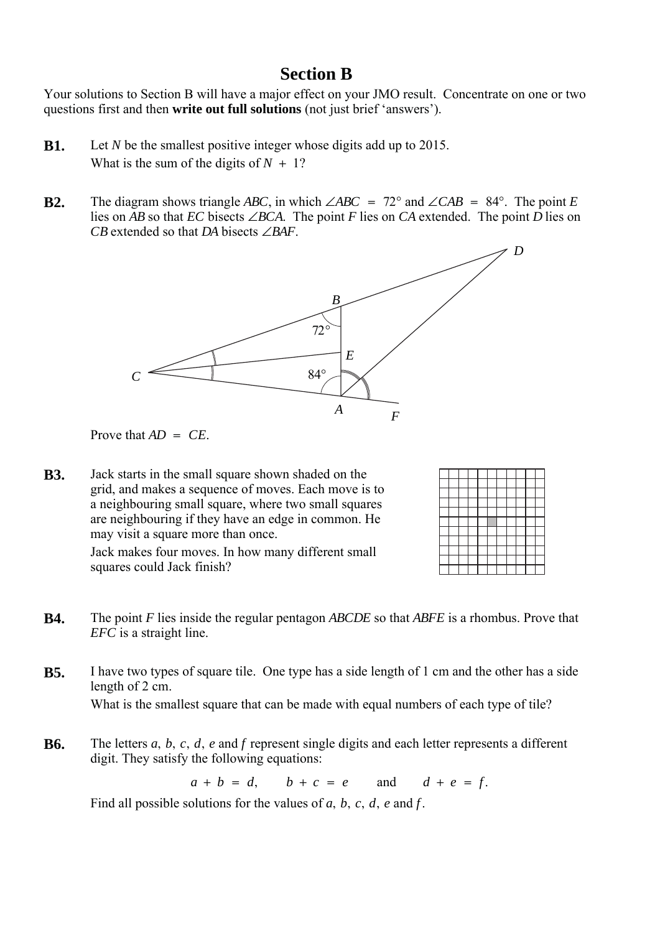## **Section B**

Your solutions to Section B will have a major effect on your JMO result. Concentrate on one or two questions first and then **write out full solutions** (not just brief 'answers').

- **B1.** Let *N* be the smallest positive integer whose digits add up to 2015. What is the sum of the digits of  $N + 1$ ?
- **B2.** The diagram shows triangle *ABC*, in which  $\angle ABC = 72^\circ$  and  $\angle CAB = 84^\circ$ . The point *E* lies on AB so that  $EC$  bisects  $∠BCA$ . The point F lies on  $CA$  extended. The point D lies on *CB* extended so that *DA* bisects  $\angle BAF$ .



Prove that  $AD = CE$ .

**B3.** Jack starts in the small square shown shaded on the grid, and makes a sequence of moves. Each move is to a neighbouring small square, where two small squares are neighbouring if they have an edge in common. He may visit a square more than once.

Jack makes four moves. In how many different small squares could Jack finish?

- **B4.** The point F lies inside the regular pentagon ABCDE so that ABFE is a rhombus. Prove that *EFC* is a straight line.
- **B5.** I have two types of square tile. One type has a side length of 1 cm and the other has a side length of 2 cm. What is the smallest square that can be made with equal numbers of each type of tile?
- **B6.** The letters *a*, *b*, *c*, *d*, *e* and *f* represent single digits and each letter represents a different digit. They satisfy the following equations:

 $a + b = d$ ,  $b + c = e$  and  $d + e = f$ .

Find all possible solutions for the values of  $a, b, c, d, e$  and  $f$ .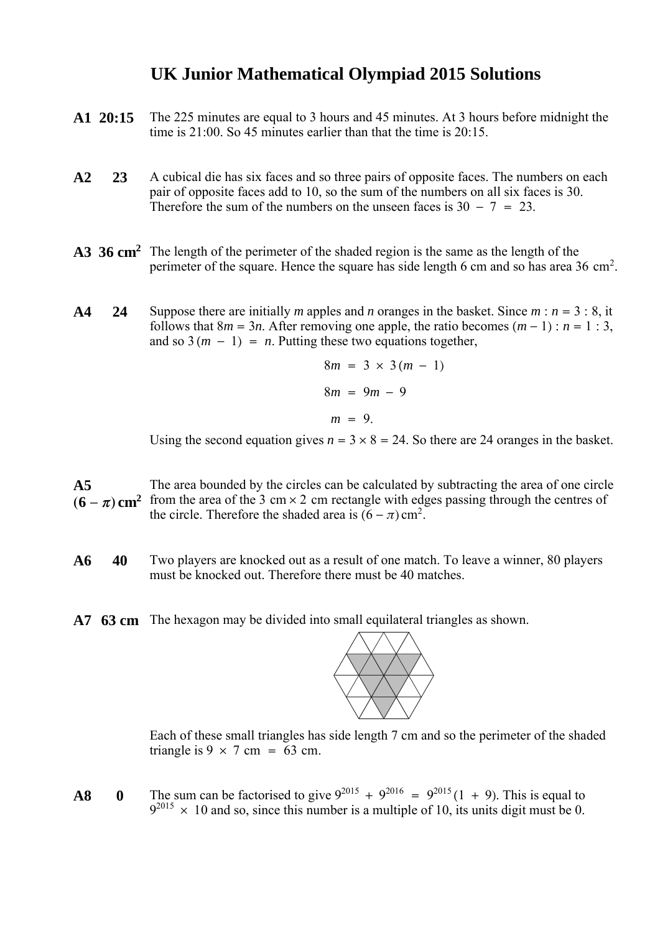## **UK Junior Mathematical Olympiad 2015 Solutions**

- **A1 20:15** The 225 minutes are equal to 3 hours and 45 minutes. At 3 hours before midnight the time is 21:00. So 45 minutes earlier than that the time is 20:15.
- **A2 23** A cubical die has six faces and so three pairs of opposite faces. The numbers on each pair of opposite faces add to 10, so the sum of the numbers on all six faces is 30. Therefore the sum of the numbers on the unseen faces is  $30 - 7 = 23$ .
- A3 36 cm<sup>2</sup> The length of the perimeter of the shaded region is the same as the length of the perimeter of the square. Hence the square has side length 6 cm and so has area 36 cm<sup>2</sup>.
- **A4** 24 Suppose there are initially *m* apples and *n* oranges in the basket. Since  $m : n = 3 : 8$ , it follows that  $8m = 3n$ . After removing one apple, the ratio becomes  $(m - 1)$ :  $n = 1:3$ , and so  $3(m - 1) = n$ . Putting these two equations together,

$$
8m = 3 \times 3(m - 1)
$$
  
\n
$$
8m = 9m - 9
$$
  
\n
$$
m = 9.
$$

Using the second equation gives  $n = 3 \times 8 = 24$ . So there are 24 oranges in the basket.

- **A5**  $(6 - \pi)$  cm<sup>2</sup> from the area of the 3 cm × 2 cm rectangle with edges passing through the centres of The area bounded by the circles can be calculated by subtracting the area of one circle the circle. Therefore the shaded area is  $(6 - \pi)$  cm<sup>2</sup>.
- **A6 40** Two players are knocked out as a result of one match. To leave a winner, 80 players must be knocked out. Therefore there must be 40 matches.
- **A7 63 cm** The hexagon may be divided into small equilateral triangles as shown.



Each of these small triangles has side length 7 cm and so the perimeter of the shaded triangle is  $9 \times 7$  cm = 63 cm.

**A8** 0 The sum can be factorised to give  $9^{2015} + 9^{2016} = 9^{2015} (1 + 9)$ . This is equal to  $9^{2015}$  × 10 and so, since this number is a multiple of 10, its units digit must be 0.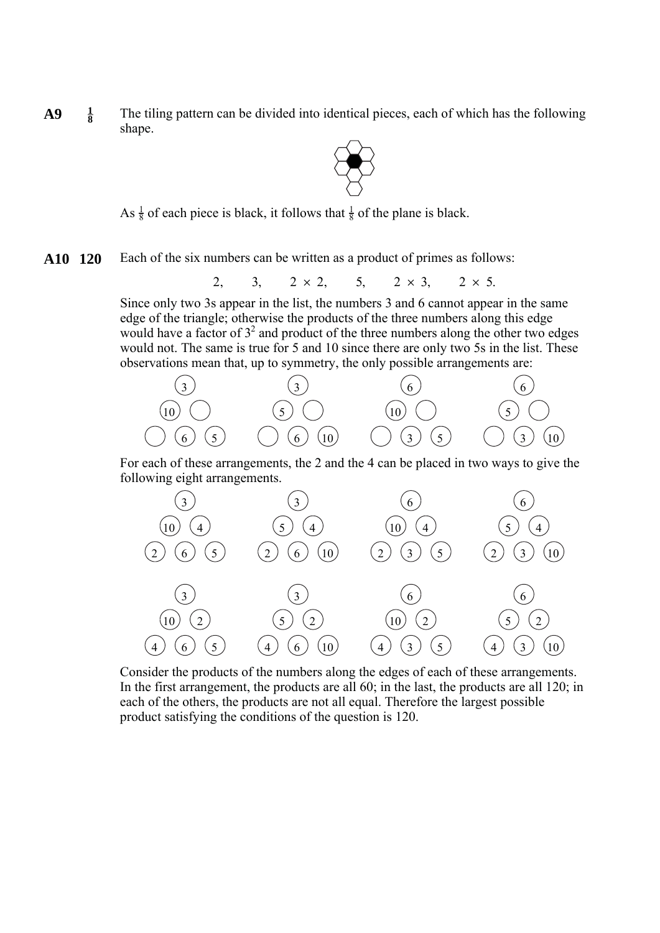$A9 \frac{1}{8}$  The tiling pattern can be divided into identical pieces, each of which has the following shape.



As  $\frac{1}{8}$  of each piece is black, it follows that  $\frac{1}{8}$  of the plane is black.

**A10 120** Each of the six numbers can be written as a product of primes as follows:

2, 3,  $2 \times 2$ , 5,  $2 \times 3$ ,  $2 \times 5$ .

Since only two 3s appear in the list, the numbers 3 and 6 cannot appear in the same edge of the triangle; otherwise the products of the three numbers along this edge would have a factor of  $3^2$  and product of the three numbers along the other two edges would not. The same is true for 5 and 10 since there are only two 5s in the list. These observations mean that, up to symmetry, the only possible arrangements are:



For each of these arrangements, the 2 and the 4 can be placed in two ways to give the following eight arrangements.



Consider the products of the numbers along the edges of each of these arrangements. In the first arrangement, the products are all 60; in the last, the products are all 120; in each of the others, the products are not all equal. Therefore the largest possible product satisfying the conditions of the question is 120.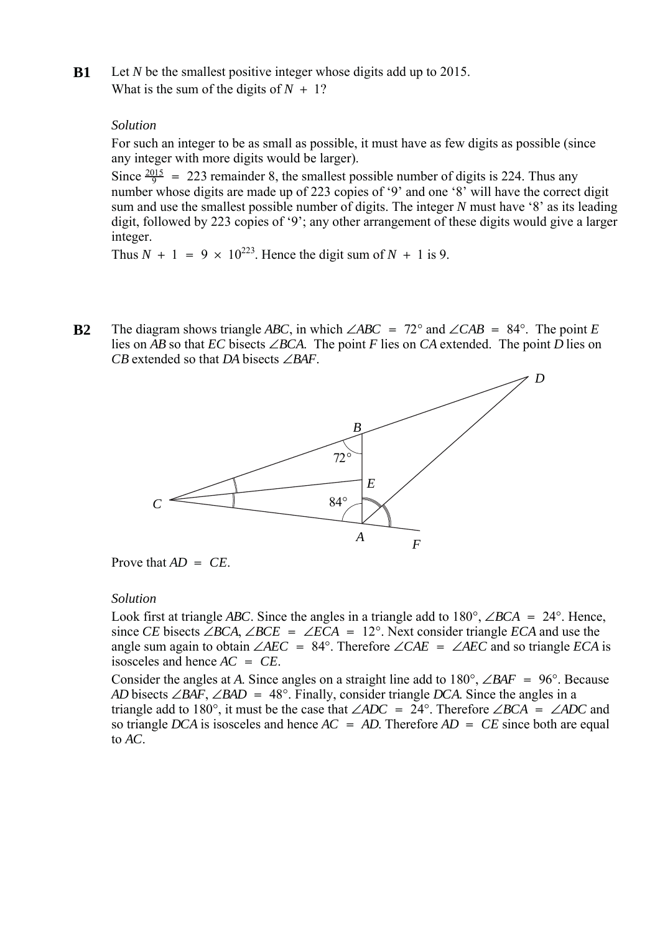**B1** Let N be the smallest positive integer whose digits add up to 2015. What is the sum of the digits of  $N + 1$ ?

### *Solution*

For such an integer to be as small as possible, it must have as few digits as possible (since any integer with more digits would be larger).

Since  $\frac{2015}{9}$  = 223 remainder 8, the smallest possible number of digits is 224. Thus any number whose digits are made up of 223 copies of '9' and one '8' will have the correct digit sum and use the smallest possible number of digits. The integer N must have '8' as its leading digit, followed by 223 copies of '9'; any other arrangement of these digits would give a larger integer.

Thus  $N + 1 = 9 \times 10^{223}$ . Hence the digit sum of  $N + 1$  is 9.

**B2** The diagram shows triangle ABC, in which  $\angle ABC = 72^\circ$  and  $\angle CAB = 84^\circ$ . The point E lies on AB so that  $EC$  bisects  $∠BCA$ . The point F lies on  $CA$  extended. The point D lies on *CB* extended so that *DA* bisects  $\angle BAF$ .



Prove that  $AD = CE$ .

#### *Solution*

Look first at triangle *ABC*. Since the angles in a triangle add to  $180^{\circ}$ ,  $\angle BCA = 24^{\circ}$ . Hence, since CE bisects  $\angle BCA$ ,  $\angle BCE = \angle ECA = 12^\circ$ . Next consider triangle *ECA* and use the angle sum again to obtain  $\angle AEC = 84^\circ$ . Therefore  $\angle CAE = \angle AEC$  and so triangle *ECA* is isosceles and hence  $AC = CE$ .

Consider the angles at A. Since angles on a straight line add to  $180^{\circ}$ ,  $\angle BAF = 96^{\circ}$ . Because *AD* bisects ∠*BAF*, ∠*BAD* = 48°. Finally, consider triangle *DCA*. Since the angles in a triangle add to 180°, it must be the case that  $\angle ADC = 24^\circ$ . Therefore  $\angle BCA = \angle ADC$  and so triangle DCA is isosceles and hence  $AC = AD$ . Therefore  $AD = CE$  since both are equal to  $AC$ .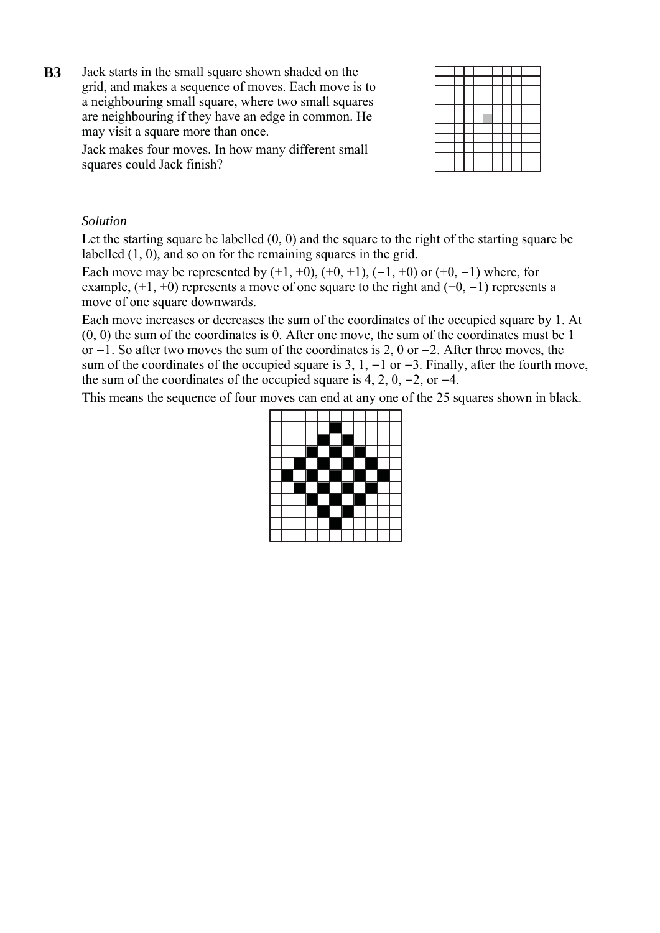**B3** Jack starts in the small square shown shaded on the grid, and makes a sequence of moves. Each move is to a neighbouring small square, where two small squares are neighbouring if they have an edge in common. He may visit a square more than once.

> Jack makes four moves. In how many different small squares could Jack finish?

### *Solution*

Let the starting square be labelled  $(0, 0)$  and the square to the right of the starting square be labelled (1, 0), and so on for the remaining squares in the grid.

Each move may be represented by  $(+1, +0)$ ,  $(+0, +1)$ ,  $(-1, +0)$  or  $(+0, -1)$  where, for example,  $(+1, +0)$  represents a move of one square to the right and  $(+0, -1)$  represents a move of one square downwards.

Each move increases or decreases the sum of the coordinates of the occupied square by 1. At (0, 0) the sum of the coordinates is 0. After one move, the sum of the coordinates must be 1 or  $-1$ . So after two moves the sum of the coordinates is 2, 0 or  $-2$ . After three moves, the sum of the coordinates of the occupied square is 3, 1,  $-1$  or  $-3$ . Finally, after the fourth move, the sum of the coordinates of the occupied square is 4, 2, 0,  $-2$ , or  $-4$ .

This means the sequence of four moves can end at any one of the 25 squares shown in black.

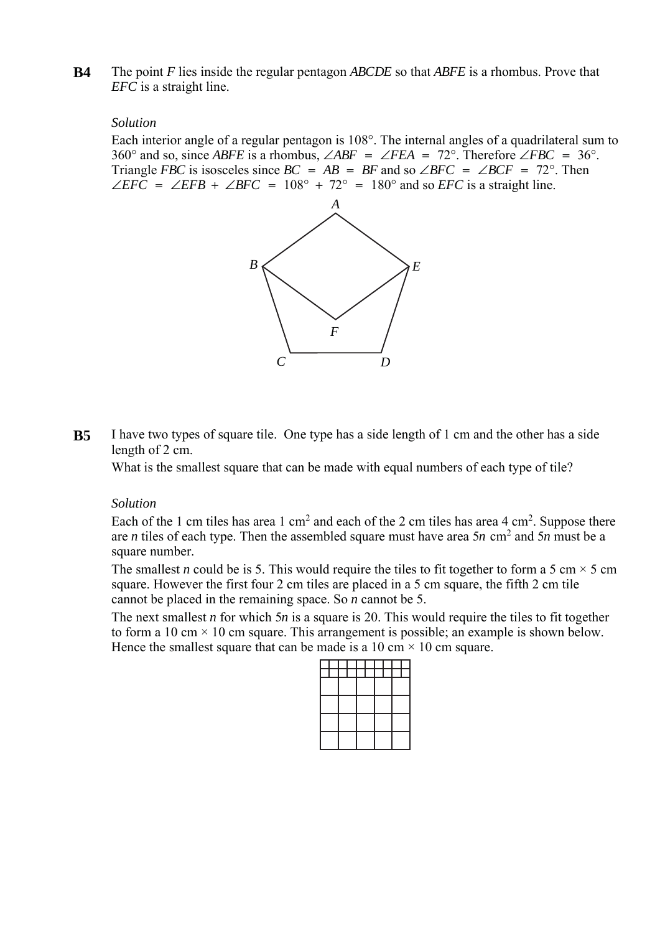**B4** The point F lies inside the regular pentagon ABCDE so that ABFE is a rhombus. Prove that *EFC* is a straight line.

### *Solution*

Each interior angle of a regular pentagon is 108°. The internal angles of a quadrilateral sum to 360° and so, since *ABFE* is a rhombus,  $\angle ABF = \angle FEA = 72^\circ$ . Therefore  $\angle FBC = 36^\circ$ . Triangle *FBC* is isosceles since  $BC = AB = BF$  and so  $\angle BFC = \angle BCF = 72^{\circ}$ . Then ∠*EFC* = ∠*EFB* + ∠*BFC* = 108° + 72° = 180° and so *EFC* is a straight line.



**B5** I have two types of square tile. One type has a side length of 1 cm and the other has a side length of 2 cm.

What is the smallest square that can be made with equal numbers of each type of tile?

#### *Solution*

Each of the 1 cm tiles has area 1 cm<sup>2</sup> and each of the 2 cm tiles has area 4 cm<sup>2</sup>. Suppose there are *n* tiles of each type. Then the assembled square must have area  $5n$  cm<sup>2</sup> and  $5n$  must be a square number.

The smallest *n* could be is 5. This would require the tiles to fit together to form a 5 cm  $\times$  5 cm square. However the first four 2 cm tiles are placed in a 5 cm square, the fifth 2 cm tile cannot be placed in the remaining space. So  $n$  cannot be 5.

The next smallest *n* for which 5*n* is a square is 20. This would require the tiles to fit together to form a 10 cm  $\times$  10 cm square. This arrangement is possible; an example is shown below. Hence the smallest square that can be made is a 10 cm  $\times$  10 cm square.